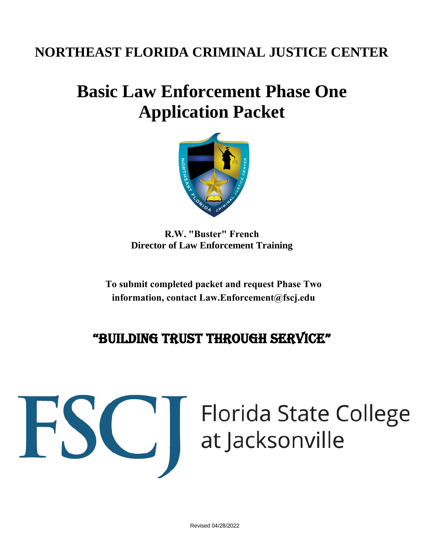# **NORTHEAST FLORIDA CRIMINAL JUSTICE CENTER**

# **Basic Law Enforcement Phase One Application Packet**



**R.W. "Buster" French Director of Law Enforcement Training**

**To submit completed packet and request Phase Two information, contact [Law.Enforcement@fscj.edu](law.enforcement@fscj.edu)**

# "Building trust through service"

# Filorida State College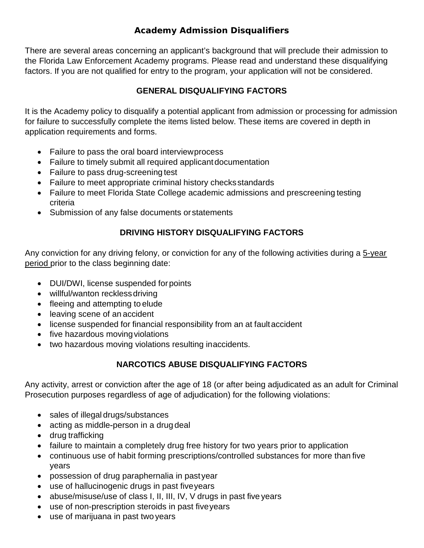#### **Academy Admission Disqualifiers**

There are several areas concerning an applicant's background that will preclude their admission to the Florida Law Enforcement Academy programs. Please read and understand these disqualifying factors. If you are not qualified for entry to the program, your application will not be considered.

#### **GENERAL DISQUALIFYING FACTORS**

It is the Academy policy to disqualify a potential applicant from admission or processing for admission for failure to successfully complete the items listed below. These items are covered in depth in application requirements and forms.

- Failure to pass the oral board interviewprocess
- Failure to timely submit all required applicant documentation
- Failure to pass drug-screening test
- Failure to meet appropriate criminal history checksstandards
- Failure to meet Florida State College academic admissions and prescreening testing criteria
- Submission of any false documents orstatements

#### **DRIVING HISTORY DISQUALIFYING FACTORS**

Any conviction for any driving felony, or conviction for any of the following activities during a 5-year period prior to the class beginning date:

- DUI/DWI, license suspended forpoints
- willful/wanton recklessdriving
- fleeing and attempting to elude
- leaving scene of an accident
- license suspended for financial responsibility from an at faultaccident
- five hazardous moving violations
- two hazardous moving violations resulting in accidents.

#### **NARCOTICS ABUSE DISQUALIFYING FACTORS**

Any activity, arrest or conviction after the age of 18 (or after being adjudicated as an adult for Criminal Prosecution purposes regardless of age of adjudication) for the following violations:

- sales of illegal drugs/substances
- acting as middle-person in a drug deal
- drug trafficking
- failure to maintain a completely drug free history for two years prior to application
- continuous use of habit forming prescriptions/controlled substances for more than five years
- possession of drug paraphernalia in pastyear
- use of hallucinogenic drugs in past fiveyears
- abuse/misuse/use of class I, II, III, IV, V drugs in past five years
- use of non-prescription steroids in past fiveyears
- use of marijuana in past two years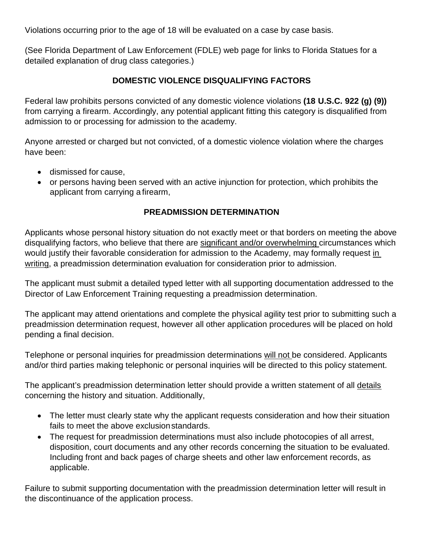Violations occurring prior to the age of 18 will be evaluated on a case by case basis.

(See Florida Department of Law Enforcement (FDLE) web page for links to Florida Statues for a detailed explanation of drug class categories.)

#### **DOMESTIC VIOLENCE DISQUALIFYING FACTORS**

Federal law prohibits persons convicted of any domestic violence violations **(18 U.S.C. 922 (g) (9))**  from carrying a firearm. Accordingly, any potential applicant fitting this category is disqualified from admission to or processing for admission to the academy.

Anyone arrested or charged but not convicted, of a domestic violence violation where the charges have been:

- dismissed for cause,
- or persons having been served with an active injunction for protection, which prohibits the applicant from carrying a firearm,

#### **PREADMISSION DETERMINATION**

Applicants whose personal history situation do not exactly meet or that borders on meeting the above disqualifying factors, who believe that there are significant and/or overwhelming circumstances which would justify their favorable consideration for admission to the Academy, may formally request in writing, a preadmission determination evaluation for consideration prior to admission.

The applicant must submit a detailed typed letter with all supporting documentation addressed to the Director of Law Enforcement Training requesting a preadmission determination.

The applicant may attend orientations and complete the physical agility test prior to submitting such a preadmission determination request, however all other application procedures will be placed on hold pending a final decision.

Telephone or personal inquiries for preadmission determinations will not be considered. Applicants and/or third parties making telephonic or personal inquiries will be directed to this policy statement.

The applicant's preadmission determination letter should provide a written statement of all details concerning the history and situation. Additionally,

- The letter must clearly state why the applicant requests consideration and how their situation fails to meet the above exclusionstandards.
- The request for preadmission determinations must also include photocopies of all arrest, disposition, court documents and any other records concerning the situation to be evaluated. Including front and back pages of charge sheets and other law enforcement records, as applicable.

Failure to submit supporting documentation with the preadmission determination letter will result in the discontinuance of the application process.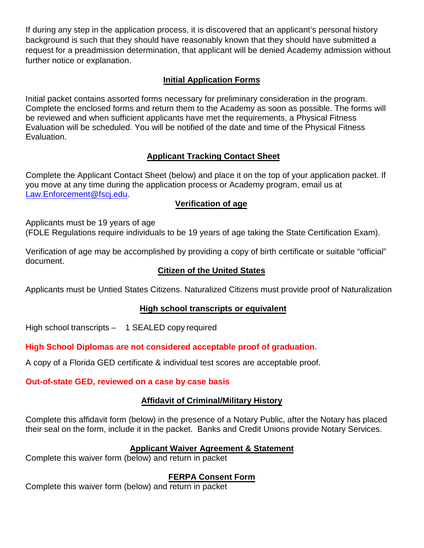If during any step in the application process, it is discovered that an applicant's personal history background is such that they should have reasonably known that they should have submitted a request for a preadmission determination, that applicant will be denied Academy admission without further notice or explanation.

#### **Initial Application Forms**

Initial packet contains assorted forms necessary for preliminary consideration in the program. Complete the enclosed forms and return them to the Academy as soon as possible. The forms will be reviewed and when sufficient applicants have met the requirements, a Physical Fitness Evaluation will be scheduled. You will be notified of the date and time of the Physical Fitness Evaluation.

#### **Applicant Tracking Contact Sheet**

Complete the Applicant Contact Sheet (below) and place it on the top of your application packet. If you move at any time during the application process or Academy program, email us at [Law.Enforcement@fscj.edu.](mailto:Law.Enforcement@fscj.edu)

#### **Verification of age**

Applicants must be 19 years of age

(FDLE Regulations require individuals to be 19 years of age taking the State Certification Exam).

Verification of age may be accomplished by providing a copy of birth certificate or suitable "official" document.

#### **Citizen of the United States**

Applicants must be Untied States Citizens. Naturalized Citizens must provide proof of Naturalization

#### **High school transcripts or equivalent**

High school transcripts – 1 SEALED copy required

**High School Diplomas are not considered acceptable proof of graduation.**

A copy of a Florida GED certificate & individual test scores are acceptable proof.

#### **Out-of-state GED, reviewed on a case by case basis**

#### **Affidavit of Criminal/Military History**

Complete this affidavit form (below) in the presence of a Notary Public, after the Notary has placed their seal on the form, include it in the packet. Banks and Credit Unions provide Notary Services.

#### **Applicant Waiver Agreement & Statement**

Complete this waiver form (below) and return in packet

#### **FERPA Consent Form**

Complete this waiver form (below) and return in packet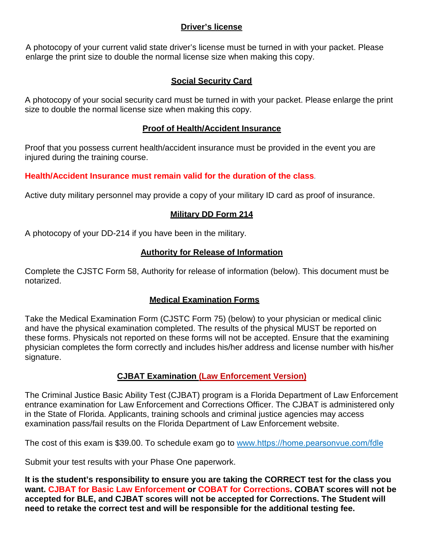#### **Driver's license**

A photocopy of your current valid state driver's license must be turned in with your packet. Please enlarge the print size to double the normal license size when making this copy.

#### **Social Security Card**

A photocopy of your social security card must be turned in with your packet. Please enlarge the print size to double the normal license size when making this copy.

#### **Proof of Health/Accident Insurance**

Proof that you possess current health/accident insurance must be provided in the event you are injured during the training course.

#### **Health/Accident Insurance must remain valid for the duration of the class***.*

Active duty military personnel may provide a copy of your military ID card as proof of insurance.

#### **Military DD Form 214**

A photocopy of your DD-214 if you have been in the military.

#### **Authority for Release of Information**

Complete the CJSTC Form 58, Authority for release of information (below). This document must be notarized.

#### **Medical Examination Forms**

Take the Medical Examination Form (CJSTC Form 75) (below) to your physician or medical clinic and have the physical examination completed. The results of the physical MUST be reported on these forms. Physicals not reported on these forms will not be accepted. Ensure that the examining physician completes the form correctly and includes his/her address and license number with his/her signature.

#### **CJBAT Examination (Law Enforcement Version)**

The Criminal Justice Basic Ability Test (CJBAT) program is a Florida Department of Law Enforcement entrance examination for Law Enforcement and Corrections Officer. The CJBAT is administered only in the State of Florida. Applicants, training schools and criminal justice agencies may access examination pass/fail results on the Florida Department of Law Enforcement website.

The cost of this exam is \$39.00. To schedule exam go to www.[https://home.pearsonvue.com/fdle](https://home.pearsonvue.com/fdle/bat)

Submit your test results with your Phase One paperwork.

**It is the student's responsibility to ensure you are taking the CORRECT test for the class you want. CJBAT for Basic Law Enforcement or COBAT for Corrections. COBAT scores will not be accepted for BLE, and CJBAT scores will not be accepted for Corrections. The Student will need to retake the correct test and will be responsible for the additional testing fee.**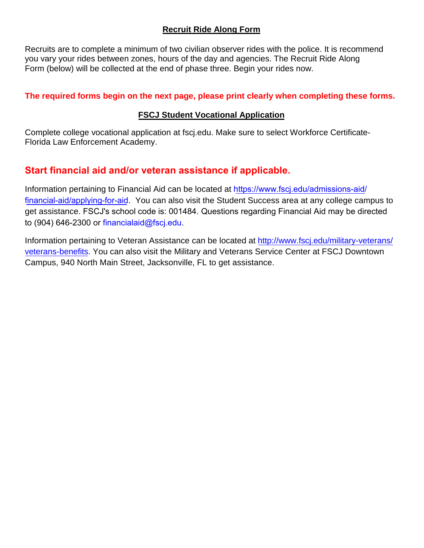#### **Recruit Ride Along Form**

Recruits are to complete a minimum of two civilian observer rides with the police. It is recommend you vary your rides between zones, hours of the day and agencies. The Recruit Ride Along Form (below) will be collected at the end of phase three. Begin your rides now.

#### **The required forms begin on the next page, please print clearly when completing these forms.**

#### **FSCJ Student Vocational Application**

Complete college vocational application at fscj.edu. Make sure to select Workforce Certificate-Florida Law Enforcement Academy.

#### **Start financial aid and/or veteran assistance if applicable.**

Information pertaining to Financial Aid can be located at [https://www.fscj.edu/admissions-aid/](https://www.fscj.edu/admissions-aid/financial-aid/applying-for-aid) [financial-aid/applying-for-ai](https://www.fscj.edu/admissions-aid/financial-aid/applying-for-aid)d. You can also visit the Student Success area at any college campus to get assistance. FSCJ's school code is: 001484. Questions reg[arding Financial Aid may be directed](http://www.fscj.edu/military-veterans/)  to (904) 646-2300 or financialaid@fscj.edu.

Information pertaining to Veteran Assistance can be located at http://www.fscj.edu/military-veterans/ veterans-benefits. You can also visit the Military and Veterans Service Center at FSCJ Downtown Campus, 940 North Main Street, Jacksonville, FL to get assistance.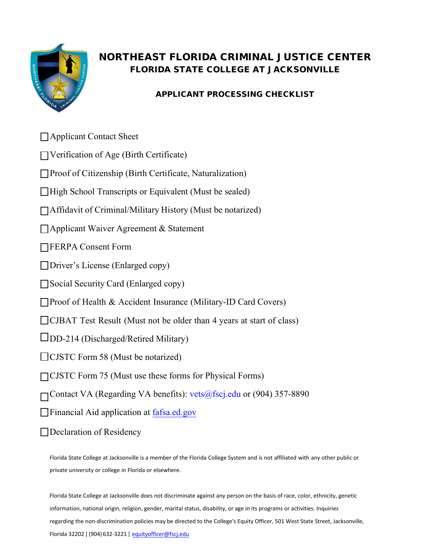

## NORTHEAST FLORIDA CRIMINAL JUSTICE CENTER FLORIDA STATE COLLEGE AT JACKSONVILLE

#### APPLICANT PROCESSING CHECKLIST

- □ Applicant Contact Sheet
- Verification of Age (Birth Certificate)
- □Proof of Citizenship (Birth Certificate, Naturalization)
- $\Box$  High School Transcripts or Equivalent (Must be sealed)
- Affidavit of Criminal/Military History (Must be notarized)
- Applicant Waiver Agreement & Statement
- **FERPA** Consent Form
- Driver's License (Enlarged copy)
- Social Security Card (Enlarged copy)
- □Proof of Health & Accident Insurance (Military-ID Card Covers)
- □ CJBAT Test Result (Must not be older than 4 years at start of class)
- $\Box$ DD-214 (Discharged/Retired Military)
- □ CJSTC Form 58 (Must be notarized)
- □ CJSTC Form 75 (Must use these forms for Physical Forms)
- Contact VA (Regarding VA benefits): vets@fscj.edu or (904) 357-8890
- **[Financial Aid application at fafsa.ed.gov](fafsa.ed.gov)**
- Declaration of Residency

Florida State College at Jacksonville is a member of the Florida College System and is not affiliated with any other public or private university or college in Florida or elsewhere.

Florida State College at Jacksonville does not discriminat[e against any](mailto:equityofficer@fscj.edu) person on the basis of race, color, ethnicity, genetic information, national origin, religion, gende[r, marital status, disabilit](mailto:equityofficer@fscj.edu)y, or age in its programs or activities. Inquiries regarding the non-discrimination policies may be directed to the College's Equity Officer, 501 West State Street, Jacksonville, Florida 32202 | (904) 632-3221 | equityofficer@fscj.edu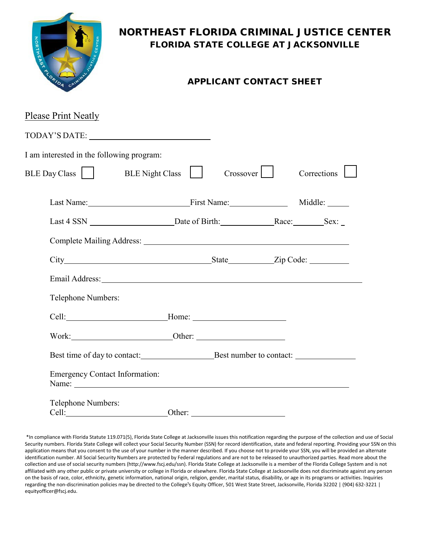

## NORTHEAST FLORIDA CRIMINAL JUSTICE CENTER FLORIDA STATE COLLEGE AT JACKSONVILLE

#### APPLICANT CONTACT SHEET

| <b>Please Print Neatly</b>                                                                                                                                                                                                     |             |             |
|--------------------------------------------------------------------------------------------------------------------------------------------------------------------------------------------------------------------------------|-------------|-------------|
|                                                                                                                                                                                                                                |             |             |
| I am interested in the following program:                                                                                                                                                                                      |             |             |
| BLE Day Class    <br>BLE Night Class                                                                                                                                                                                           | $Crossover$ | Corrections |
| Last Name: Middle: Manuel Middle: Middle: Middle: Middle: Middle: Middle: Middle: Middle: Middle: Middle: Middle: Middle: Middle: Middle: Middle: Middle: Middle: Middle: Middle: Middle: Middle: Middle: Middle: Middle: Midd |             |             |
|                                                                                                                                                                                                                                |             |             |
|                                                                                                                                                                                                                                |             |             |
| City State Zip Code:                                                                                                                                                                                                           |             |             |
|                                                                                                                                                                                                                                |             |             |
| Telephone Numbers:                                                                                                                                                                                                             |             |             |
|                                                                                                                                                                                                                                |             |             |
| Work: Other: Other:                                                                                                                                                                                                            |             |             |
| Best time of day to contact: Best number to contact:                                                                                                                                                                           |             |             |
| <b>Emergency Contact Information:</b>                                                                                                                                                                                          |             |             |
| Telephone Numbers:<br>Cell:                                                                                                                                                                                                    | Other:      |             |

\*In compliance with Florida Statute 119.071(5), Florida State College at Jacksonville issues this notification regarding the purpose of the collection and use of Social Security numbers. Florida State College will collect your Social Security Number (SSN) for record identification, state and federal reporting. Providing your SSN on this application means that you consent to the use of your number in the manner described. If you choose not to provide your SSN, you will be provided an alternate identification number. All Social Security Numbers are protected by Federal regulations and are not to be released to unauthorized parties. Read more about the collection and use of social security number[s \(http://www.fscj.edu/ssn\).](http://www.fscj.edu/ssn)) Florida State College at Jacksonville is a member of the Florida College System and is not affiliated with any other public or private university or college in Florida or elsewhere. Florida State College at Jacksonville does not discriminate against any person on the basis of race, color, ethnicity, genetic information, national origin, religion, gender, marital status, disability, or age in its programs or activities. Inquiries regarding the non-discrimination policies may be directed to the College's Equity Officer, 501 West State Street, Jacksonville, Florida 32202 | (904) 632-3221 | [equityofficer@fscj.edu.](mailto:equityofficer@fscj.edu)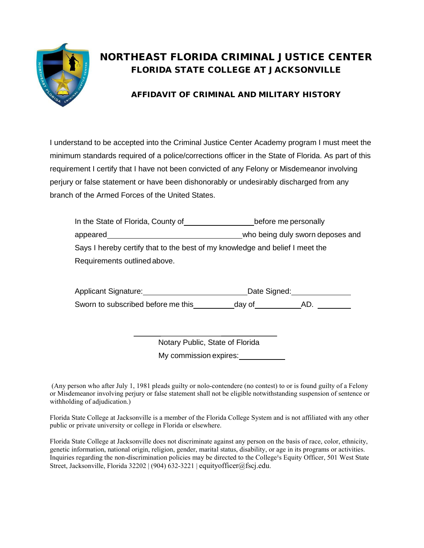

## NORTHEAST FLORIDA CRIMINAL JUSTICE CENTER FLORIDA STATE COLLEGE AT JACKSONVILLE

#### AFFIDAVIT OF CRIMINAL AND MILITARY HISTORY

I understand to be accepted into the Criminal Justice Center Academy program I must meet the minimum standards required of a police/corrections officer in the State of Florida. As part of this requirement I certify that I have not been convicted of any Felony or Misdemeanor involving perjury or false statement or have been dishonorably or undesirably discharged from any branch of the Armed Forces of the United States.

| In the State of Florida, County of | before me personally                                                         |
|------------------------------------|------------------------------------------------------------------------------|
| appeared                           | who being duly sworn deposes and                                             |
|                                    | Says I hereby certify that to the best of my knowledge and belief I meet the |
| Requirements outlined above.       |                                                                              |

| Applicant Signature:               | Date Signed: |    |
|------------------------------------|--------------|----|
| Sworn to subscribed before me this | day of       | AD |

Notary Public, State of Florida My commission expires: <u>commission</u>

(Any person who after July 1, 1981 pleads guilty or nolo-contendere (no contest) to or is found guilty of a Felony or Misdemeanor involving perjury or false statement shall not be eligible notwithstanding suspension of sentence or withholding of adjudication.)

Florida State College at Jacksonville is a member of the Florida College System and is not affiliated with any other public or private university or college in Florida or elsewhere.

Florida State College at Jacksonville does not discriminate against any person on the basis of race, color, ethnicity, genetic information, national origin, religion, gender, marital status, disability, or age in its programs or activities. Inquiries regarding the non-discrimination policies may be directed to the College's Equity Officer, 501 West State Street, Jacksonville, Florida 32202 | (904) 632-3221 | [equityofficer@fscj.edu](mailto:equityofficer@fscj.edu).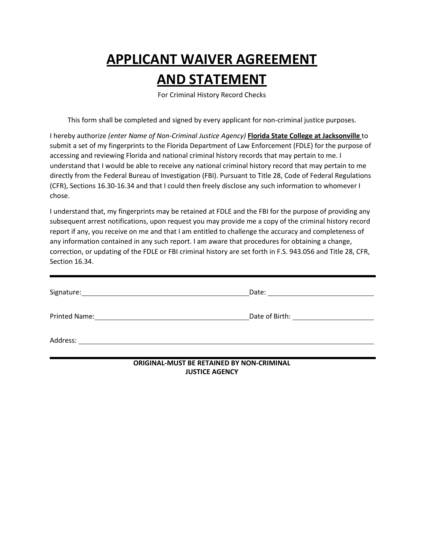# **APPLICANT WAIVER AGREEMENT**

# **AND STATEMENT**

For Criminal History Record Checks

This form shall be completed and signed by every applicant for non-criminal justice purposes.

I hereby authorize *(enter Name of Non-Criminal Justice Agency)* **Florida State College at Jacksonville** to submit a set of my fingerprints to the Florida Department of Law Enforcement (FDLE) for the purpose of accessing and reviewing Florida and national criminal history records that may pertain to me. I understand that I would be able to receive any national criminal history record that may pertain to me directly from the Federal Bureau of Investigation (FBI). Pursuant to Title 28, Code of Federal Regulations (CFR), Sections 16.30-16.34 and that I could then freely disclose any such information to whomever I chose.

I understand that, my fingerprints may be retained at FDLE and the FBI for the purpose of providing any subsequent arrest notifications, upon request you may provide me a copy of the criminal history record report if any, you receive on me and that I am entitled to challenge the accuracy and completeness of any information contained in any such report. I am aware that procedures for obtaining a change, correction, or updating of the FDLE or FBI criminal history are set forth in F.S. 943.056 and Title 28, CFR, Section 16.34.

| Signature:                                                                 |                                   |
|----------------------------------------------------------------------------|-----------------------------------|
| <b>Printed Name:</b><br><u> 1989 - John Stein, Amerikaansk politiker (</u> | Date of Birth: The Case of Birth: |
| Address:<br><u> 1989 - John Stein, mars and de Brazilian (b. 1989)</u>     |                                   |

**ORIGINAL-MUST BE RETAINED BY NON-CRIMINAL JUSTICE AGENCY**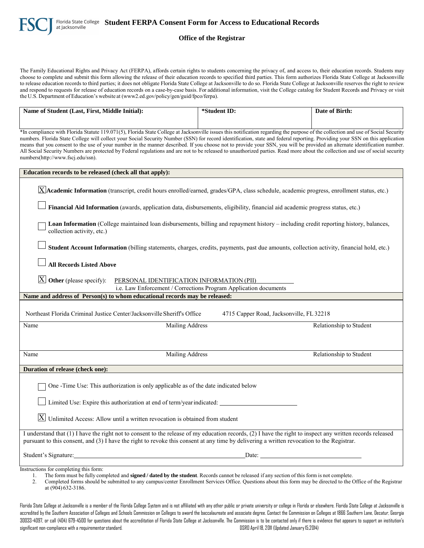

The Family Educational Rights and Privacy Act (FERPA), affords certain rights to students concerning the privacy of, and access to, their education records. Students may choose to complete and submit this form allowing the release of their education records to specified third parties. This form authorizes Florida State College at Jacksonville to release education records to third parties; it does not obligate Florida State College at Jacksonville to do so. Florida State College at Jacksonville reserves the right to review and respond to requests for release of education records on a case-by-case basis. For additional information, visit the College catalog for Student Records and Privacy or visit the U.S. Department of Education's website at (www2.ed.gov/policy/gen/guid/fpco/ferpa).

| Name of Student (Last, First, Middle Initial):                                                                                                                                                                                                                                                                                                                                                                                                                                                                                                                                                                                                                                                                                                                        | *Student ID:                                                     | Date of Birth:          |
|-----------------------------------------------------------------------------------------------------------------------------------------------------------------------------------------------------------------------------------------------------------------------------------------------------------------------------------------------------------------------------------------------------------------------------------------------------------------------------------------------------------------------------------------------------------------------------------------------------------------------------------------------------------------------------------------------------------------------------------------------------------------------|------------------------------------------------------------------|-------------------------|
|                                                                                                                                                                                                                                                                                                                                                                                                                                                                                                                                                                                                                                                                                                                                                                       |                                                                  |                         |
| *In compliance with Florida Statute 119.071(5), Florida State College at Jacksonville issues this notification regarding the purpose of the collection and use of Social Security<br>numbers. Florida State College will collect your Social Security Number (SSN) for record identification, state and federal reporting. Providing your SSN on this application<br>means that you consent to the use of your number in the manner described. If you choose not to provide your SSN, you will be provided an alternate identification number.<br>All Social Security Numbers are protected by Federal regulations and are not to be released to unauthorized parties. Read more about the collection and use of social security<br>numbers(http://www.fscj.edu/ssn). |                                                                  |                         |
| Education records to be released (check all that apply):                                                                                                                                                                                                                                                                                                                                                                                                                                                                                                                                                                                                                                                                                                              |                                                                  |                         |
| $X$ Academic Information (transcript, credit hours enrolled/earned, grades/GPA, class schedule, academic progress, enrollment status, etc.)                                                                                                                                                                                                                                                                                                                                                                                                                                                                                                                                                                                                                           |                                                                  |                         |
| Financial Aid Information (awards, application data, disbursements, eligibility, financial aid academic progress status, etc.)                                                                                                                                                                                                                                                                                                                                                                                                                                                                                                                                                                                                                                        |                                                                  |                         |
| Loan Information (College maintained loan disbursements, billing and repayment history - including credit reporting history, balances,<br>collection activity, etc.)                                                                                                                                                                                                                                                                                                                                                                                                                                                                                                                                                                                                  |                                                                  |                         |
| Student Account Information (billing statements, charges, credits, payments, past due amounts, collection activity, financial hold, etc.)                                                                                                                                                                                                                                                                                                                                                                                                                                                                                                                                                                                                                             |                                                                  |                         |
| <b>All Records Listed Above</b>                                                                                                                                                                                                                                                                                                                                                                                                                                                                                                                                                                                                                                                                                                                                       |                                                                  |                         |
| $ \underline{X} $ Other (please specify):<br>PERSONAL IDENTIFICATION INFORMATION (PII)                                                                                                                                                                                                                                                                                                                                                                                                                                                                                                                                                                                                                                                                                | i.e. Law Enforcement / Corrections Program Application documents |                         |
| Name and address of Person(s) to whom educational records may be released:                                                                                                                                                                                                                                                                                                                                                                                                                                                                                                                                                                                                                                                                                            |                                                                  |                         |
| Northeast Florida Criminal Justice Center/Jacksonville Sheriff's Office                                                                                                                                                                                                                                                                                                                                                                                                                                                                                                                                                                                                                                                                                               | 4715 Capper Road, Jacksonville, FL 32218                         |                         |
| Name<br>Mailing Address                                                                                                                                                                                                                                                                                                                                                                                                                                                                                                                                                                                                                                                                                                                                               |                                                                  | Relationship to Student |
|                                                                                                                                                                                                                                                                                                                                                                                                                                                                                                                                                                                                                                                                                                                                                                       |                                                                  |                         |
| Mailing Address<br>Name                                                                                                                                                                                                                                                                                                                                                                                                                                                                                                                                                                                                                                                                                                                                               |                                                                  | Relationship to Student |
| Duration of release (check one):                                                                                                                                                                                                                                                                                                                                                                                                                                                                                                                                                                                                                                                                                                                                      |                                                                  |                         |
| One -Time Use: This authorization is only applicable as of the date indicated below                                                                                                                                                                                                                                                                                                                                                                                                                                                                                                                                                                                                                                                                                   |                                                                  |                         |
| Limited Use: Expire this authorization at end of term/year indicated:                                                                                                                                                                                                                                                                                                                                                                                                                                                                                                                                                                                                                                                                                                 |                                                                  |                         |
| $\boxed{\text{X}}$ Unlimited Access: Allow until a written revocation is obtained from student                                                                                                                                                                                                                                                                                                                                                                                                                                                                                                                                                                                                                                                                        |                                                                  |                         |
| I understand that (1) I have the right not to consent to the release of my education records, (2) I have the right to inspect any written records released<br>pursuant to this consent, and (3) I have the right to revoke this consent at any time by delivering a written revocation to the Registrar.                                                                                                                                                                                                                                                                                                                                                                                                                                                              |                                                                  |                         |
| Student's Signature: Date: Date: Date: Date: Date: Date: Date: Date: Date: Date: Date: Date: Date: Date: Date: Date: Date: Date: Date: Date: Date: Date: Date: Date: Date: Date: Date: Date: Date: Date: Date: Date: Date: Dat                                                                                                                                                                                                                                                                                                                                                                                                                                                                                                                                        |                                                                  |                         |
| Instructions for completing this form:                                                                                                                                                                                                                                                                                                                                                                                                                                                                                                                                                                                                                                                                                                                                |                                                                  |                         |

1. The form must be fully completed and **signed / dated by the student**. Records cannot be released if any section of this form is not complete.

2. Completed forms should be submitted to any campus/center Enrollment Services Office. Questions about this form may be directed to the Office of the Registrar at (904) 632-3186.

Florida State College at Jacksonville is a member of the Florida College System and is not affiliated with any other public or private university or college in Florida or elsewhere. Florida State College at Jacksonville is accredited by the Southern Association of Colleges and Schools Commission on Colleges to award the baccalaureate and associate degree. Contact the Commission on Colleges at 1866 Southern Lane, Decatur, Georgia 30033-4097, or call (404) 679-4500 for questions about the accreditation of Florida State College at Jacksonville. The Commission is to be contacted only if there is evidence that appears to support an institution's significant non-compliance with a requirementorstandard. DSRO April 18, 2011 (Updated January15,2014)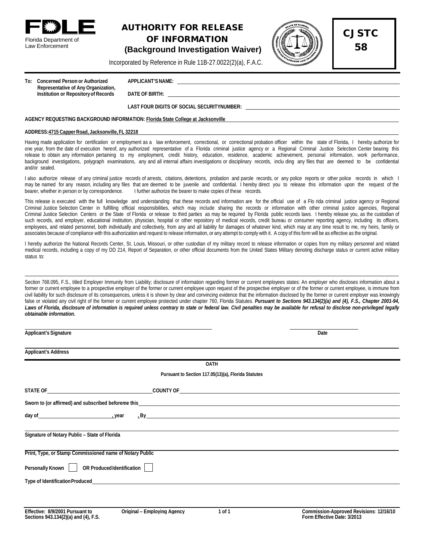

Law Enforcement

#### AUTHORITY FOR RELEASE OF INFORMATION **(Background Investigation Waiver)**



CJSTC

58

Incorporated by Reference in Rule 11B-27.0022(2)(a), F.A.C.

**To: Concerned Person or Authorized APPLICANT'SNAME: Representative of Any Organization, Institution or Repositoryof Records DATE OF BIRTH:** 

#### **LAST FOUR DIGITS OF SOCIAL SECURITYNUMBER:**

#### **AGENCY REQUESTING BACKGROUND INFORMATION: Florida State College at Jacksonville**

#### **ADDRESS:4715 CapperRoad, Jacksonville, FL 32218**

Having made application for certification or employment as a law enforcement, correctional, or correctional probation officer within the state of Florida, I hereby authorize for one year, from the date of execution hereof, any authorized representative of a Florida criminal justice agency or a Regional Criminal Justice Selection Center bearing this release to obtain any information pertaining to my employment, credit history, education, residence, academic achievement, personal information, work performance, background investigations, polygraph examinations, any and all internal affairs investigations or disciplinary records, inclu ding any files that are deemed to be confidential and/or sealed.

I also authorize release of any criminal justice records of arrests, citations, detentions, probation and parole records, or any police reports or other police records in which I may be named for any reason, including any files that are deemed to be juvenile and confidential. I hereby direct you to release this information upon the request of the bearer, whether in person or by correspondence. I further authorize the bearer to make copies of these records.

This release is executed with the full knowledge and understanding that these records and information are for the official use of a Flo rida criminal justice agency or Regional Criminal Justice Selection Center in fulfilling official responsibilities, which may include sharing the records or information with other criminal justice agencies, Regional Criminal Justice Selection Centers or the State of Florida or release to third parties as may be required by Florida public records laws. I hereby release you, as the custodian of such records, and employer, educational institution, physician, hospital or other repository of medical records, credit bureau or consumer reporting agency, including its officers, employees, and related personnel, both individually and collectively, from any and all liability for damages of whatever kind, which may at any time result to me, my heirs, family or associates because of compliance with this authorization and request to release information, or any attempt to comply with it. A copy of this form will be as effective as the original.

I hereby authorize the National Records Center, St. Louis, Missouri, or other custodian of my military record to release information or copies from my military personnel and related medical records, including a copy of my DD 214, Report of Separation, or other official documents from the United States Military denoting discharge status or current active military status to:

Section 768.095, F.S., titled Employer Immunity from Liability; disclosure of information regarding former or current employees states: An employer who discloses information about a former or current employee to a prospective employer of the former or current employee upon request of the prospective employer or of the former or current employee, is immune from civil liability for such disclosure of its consequences, unless it is shown by clear and convincing evidence that the information disclosed by the former or current employer was knowingly false or violated any civil right of the former or current employee protected under chapter 760, Florida Statutes. Pursuant to Sections 943.134(2)(a) and (4), F.S., Chapter 2001-94, Laws of Florida, disclosure of information is required unless contrary to state or federal law. Civil penalties may be available for refusal to disclose non-privileged legally *obtainable information.*

| <b>Applicant's Signature</b>                                                                                                                                                                                                   |                                                                                                                                                                                                                                                             | Date |
|--------------------------------------------------------------------------------------------------------------------------------------------------------------------------------------------------------------------------------|-------------------------------------------------------------------------------------------------------------------------------------------------------------------------------------------------------------------------------------------------------------|------|
| <b>Applicant's Address</b>                                                                                                                                                                                                     |                                                                                                                                                                                                                                                             |      |
|                                                                                                                                                                                                                                | <b>OATH</b>                                                                                                                                                                                                                                                 |      |
|                                                                                                                                                                                                                                | Pursuant to Section 117.05(13)(a), Florida Statutes                                                                                                                                                                                                         |      |
|                                                                                                                                                                                                                                |                                                                                                                                                                                                                                                             |      |
| Sworn to (or affirmed) and subscribed beforeme this entertainment and the state of the state of the state of the state of the state of the state of the state of the state of the state of the state of the state of the state |                                                                                                                                                                                                                                                             |      |
| day of year                                                                                                                                                                                                                    | $LB$ y and $CB$ y and $CB$ and $CB$ and $CB$ and $CB$ and $CB$ and $CB$ and $CB$ and $CB$ and $CB$ and $CB$ and $CB$ and $CB$ and $CB$ and $CB$ and $CB$ and $CB$ and $CB$ and $CB$ and $CB$ and $CB$ and $CB$ and $CB$ and $CB$ and $CB$ and $CB$ and $CB$ |      |
| Signature of Notary Public - State of Florida                                                                                                                                                                                  |                                                                                                                                                                                                                                                             |      |
| Print, Type, or Stamp Commissioned name of Notary Public                                                                                                                                                                       |                                                                                                                                                                                                                                                             |      |
| OR Produced Identification<br>Personally Known                                                                                                                                                                                 |                                                                                                                                                                                                                                                             |      |
|                                                                                                                                                                                                                                |                                                                                                                                                                                                                                                             |      |
|                                                                                                                                                                                                                                |                                                                                                                                                                                                                                                             |      |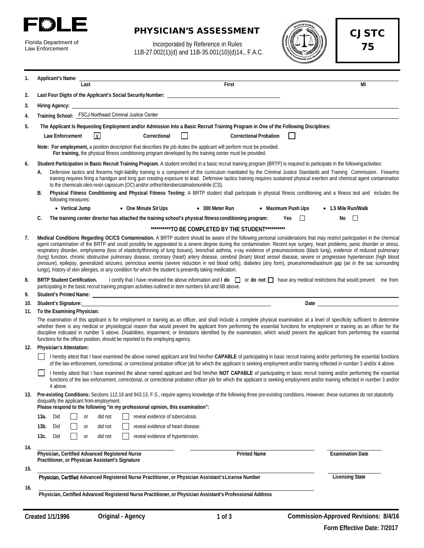

| Florida Department of |
|-----------------------|
| Law Enforcement       |

#### PHYSICIAN'S ASSESSMENT

Incorporated by Reference in Rules 11B-27.002(1)(d) and 11B-35.001(10)(d)14., F.A.C.



CJSTC 75

| 1.  |      | Applicant's Name:                  |                 |           |                                                                                                    |                                                                                                                                                                                                                                                                                                                                                                                                                                                                                                                                                                                                                                                                                                                                                                                                                                                                                                                                                                                                                         |              |                                                      |       |                               |  |     |                          |  |                             |  |
|-----|------|------------------------------------|-----------------|-----------|----------------------------------------------------------------------------------------------------|-------------------------------------------------------------------------------------------------------------------------------------------------------------------------------------------------------------------------------------------------------------------------------------------------------------------------------------------------------------------------------------------------------------------------------------------------------------------------------------------------------------------------------------------------------------------------------------------------------------------------------------------------------------------------------------------------------------------------------------------------------------------------------------------------------------------------------------------------------------------------------------------------------------------------------------------------------------------------------------------------------------------------|--------------|------------------------------------------------------|-------|-------------------------------|--|-----|--------------------------|--|-----------------------------|--|
|     |      |                                    |                 | Last      |                                                                                                    |                                                                                                                                                                                                                                                                                                                                                                                                                                                                                                                                                                                                                                                                                                                                                                                                                                                                                                                                                                                                                         |              |                                                      | First |                               |  |     |                          |  | МI                          |  |
| 2.  |      |                                    |                 |           |                                                                                                    |                                                                                                                                                                                                                                                                                                                                                                                                                                                                                                                                                                                                                                                                                                                                                                                                                                                                                                                                                                                                                         |              |                                                      |       |                               |  |     |                          |  |                             |  |
| 3.  |      |                                    |                 |           |                                                                                                    |                                                                                                                                                                                                                                                                                                                                                                                                                                                                                                                                                                                                                                                                                                                                                                                                                                                                                                                                                                                                                         |              |                                                      |       |                               |  |     |                          |  |                             |  |
| 4.  |      |                                    |                 |           |                                                                                                    | Training School: FSCJ-Northeast Criminal Justice Center                                                                                                                                                                                                                                                                                                                                                                                                                                                                                                                                                                                                                                                                                                                                                                                                                                                                                                                                                                 |              |                                                      |       |                               |  |     |                          |  |                             |  |
| 5.  |      |                                    |                 |           |                                                                                                    | The Applicant Is Requesting Employment and/or Admission Into a Basic Recruit Training Program in One of the Following Disciplines:                                                                                                                                                                                                                                                                                                                                                                                                                                                                                                                                                                                                                                                                                                                                                                                                                                                                                      |              |                                                      |       |                               |  |     |                          |  |                             |  |
|     |      | Law Enforcement                    |                 |           | $\mathsf{X}$                                                                                       |                                                                                                                                                                                                                                                                                                                                                                                                                                                                                                                                                                                                                                                                                                                                                                                                                                                                                                                                                                                                                         | Correctional |                                                      |       | <b>Correctional Probation</b> |  |     |                          |  |                             |  |
|     |      |                                    |                 |           |                                                                                                    | Note: For employment, a position description that describes the job duties the applicant will perform must be provided.<br>For training, the physical fitness conditioning program developed by the training center must be provided.                                                                                                                                                                                                                                                                                                                                                                                                                                                                                                                                                                                                                                                                                                                                                                                   |              |                                                      |       |                               |  |     |                          |  |                             |  |
| 6.  |      |                                    |                 |           |                                                                                                    | Student Participation in Basic Recruit Training Program. A student enrolled in a basic recruit training program (BRTP) is required to participate in the following activities:                                                                                                                                                                                                                                                                                                                                                                                                                                                                                                                                                                                                                                                                                                                                                                                                                                          |              |                                                      |       |                               |  |     |                          |  |                             |  |
|     | А.   |                                    |                 |           |                                                                                                    | Defensive tactics and firearms high-liability training is a component of the curriculum mandated by the Criminal Justice Standards and Training Commission. Firearms<br>training requires firing a handgun and long gun creating exposure to lead. Defensive tactics training requires sustained physical exertion and chemical agent contamination<br>to the chemicals oleo-resin capsicum (OC) and/or orthochlorobenzalmalononitrile (CS).                                                                                                                                                                                                                                                                                                                                                                                                                                                                                                                                                                            |              |                                                      |       |                               |  |     |                          |  |                             |  |
|     | В.   | following measures:                |                 |           |                                                                                                    | Physical Fitness Conditioning and Physical Fitness Testing: A BRTP student shall participate in physical fitness conditioning and a fitness test and includes the                                                                                                                                                                                                                                                                                                                                                                                                                                                                                                                                                                                                                                                                                                                                                                                                                                                       |              |                                                      |       |                               |  |     |                          |  |                             |  |
|     |      |                                    | • Vertical Jump |           |                                                                                                    | • One Minute Sit Ups                                                                                                                                                                                                                                                                                                                                                                                                                                                                                                                                                                                                                                                                                                                                                                                                                                                                                                                                                                                                    |              | $\bullet$ 300 Meter Run                              |       |                               |  |     | • Maximum Push Ups       |  | $\bullet$ 1.5 Mile Run/Walk |  |
|     | C.   |                                    |                 |           |                                                                                                    | The training center director has attached the training school's physical fitness conditioning program:                                                                                                                                                                                                                                                                                                                                                                                                                                                                                                                                                                                                                                                                                                                                                                                                                                                                                                                  |              |                                                      |       |                               |  | Yes | $\overline{\phantom{a}}$ |  | No $\square$                |  |
|     |      |                                    |                 |           |                                                                                                    |                                                                                                                                                                                                                                                                                                                                                                                                                                                                                                                                                                                                                                                                                                                                                                                                                                                                                                                                                                                                                         |              | ***********TO BE COMPLETED BY THE STUDENT*********** |       |                               |  |     |                          |  |                             |  |
| 7.  |      |                                    |                 |           |                                                                                                    | Medical Conditions Regarding OC/CS Contamination. A BRTP student should be aware of the following personal considerations that may restrict participation in the chemical<br>agent contamination of the BRTP and could possibly be aggravated to a severe degree during the contamination: Recent eye surgery, heart problems, panic disorder or stress,<br>respiratory disorder, emphysema (loss of elasticity/thinning of lung tissues), bronchial asthma, x-ray evidence of pneumoconiosis (black lung), evidence of reduced pulmonary<br>(lung) function, chronic obstructive pulmonary disease, coronary (heart) artery disease, cerebral (brain) blood vessel disease, severe or progressive hypertension (high blood<br>pressure), epilepsy, generalized seizures, pernicious anemia (severe reduction in red blood cells), diabetes (any form), pnueumomediastinum gap (air in the sac surrounding<br>lungs), history of skin allergies, or any condition for which the student is presently taking medication. |              |                                                      |       |                               |  |     |                          |  |                             |  |
| 8.  |      | <b>BRTP Student Certification.</b> |                 |           |                                                                                                    | I certify that I have reviewed the above information and $\mathsf{Id}$ $\mathsf{Id}$ or $\mathsf{d}$ on $\mathsf{Id}$ have any medical restrictions that would prevent me from<br>participating in the basic recruit training program activities outlined in item numbers 6A and 6B above.                                                                                                                                                                                                                                                                                                                                                                                                                                                                                                                                                                                                                                                                                                                              |              |                                                      |       |                               |  |     |                          |  |                             |  |
| 9.  |      |                                    |                 |           |                                                                                                    |                                                                                                                                                                                                                                                                                                                                                                                                                                                                                                                                                                                                                                                                                                                                                                                                                                                                                                                                                                                                                         |              |                                                      |       |                               |  |     |                          |  |                             |  |
| 10. |      | Student's Signature:               |                 |           |                                                                                                    |                                                                                                                                                                                                                                                                                                                                                                                                                                                                                                                                                                                                                                                                                                                                                                                                                                                                                                                                                                                                                         |              |                                                      |       |                               |  |     |                          |  |                             |  |
| 11. |      | To the Examining Physician:        |                 |           |                                                                                                    |                                                                                                                                                                                                                                                                                                                                                                                                                                                                                                                                                                                                                                                                                                                                                                                                                                                                                                                                                                                                                         |              |                                                      |       |                               |  |     |                          |  |                             |  |
|     |      |                                    |                 |           |                                                                                                    | The examination of this applicant is for employment or training as an officer, and shall include a complete physical examination at a level of specificity sufficient to determine<br>whether there is any medical or physiological reason that would prevent the applicant from performing the essential functions for employment or training as an officer for the<br>discipline indicated in number 5 above. Disabilities, impairment, or limitations identified by the examination, which would prevent the applicant from performing the essential<br>functions for the officer position, should be reported to the employing agency.                                                                                                                                                                                                                                                                                                                                                                              |              |                                                      |       |                               |  |     |                          |  |                             |  |
| 12. |      | <b>Physician's Attestation:</b>    |                 |           |                                                                                                    |                                                                                                                                                                                                                                                                                                                                                                                                                                                                                                                                                                                                                                                                                                                                                                                                                                                                                                                                                                                                                         |              |                                                      |       |                               |  |     |                          |  |                             |  |
|     |      |                                    |                 |           |                                                                                                    | I hereby attest that I have examined the above named applicant and find him/her CAPABLE of participating in basic recruit training and/or performing the essential functions<br>of the law enforcement, correctional, or correctional probation officer job for which the applicant is seeking employment and/or training reflected in number 3 and/or 4 above.                                                                                                                                                                                                                                                                                                                                                                                                                                                                                                                                                                                                                                                         |              |                                                      |       |                               |  |     |                          |  |                             |  |
|     |      | 4 above.                           |                 |           |                                                                                                    | I hereby attest that I have examined the above named applicant and find him/her NOT CAPABLE of participating in basic recruit training and/or performing the essential<br>functions of the law enforcement, correctional, or correctional probation officer job for which the applicant is seeking employment and/or training reflected in number 3 and/or                                                                                                                                                                                                                                                                                                                                                                                                                                                                                                                                                                                                                                                              |              |                                                      |       |                               |  |     |                          |  |                             |  |
| 13. |      |                                    |                 |           | disqualify the applicant from employment.                                                          | Pre-existing Conditions: Sections 112.18 and 943.13, F.S., require agency knowledge of the following three pre-existing conditions. However, these outcomes do not statutorily<br>Please respond to the following "in my professional opinion, this examination":                                                                                                                                                                                                                                                                                                                                                                                                                                                                                                                                                                                                                                                                                                                                                       |              |                                                      |       |                               |  |     |                          |  |                             |  |
|     | 13а. | Did                                |                 | or        | did not                                                                                            | reveal evidence of tuberculosis.                                                                                                                                                                                                                                                                                                                                                                                                                                                                                                                                                                                                                                                                                                                                                                                                                                                                                                                                                                                        |              |                                                      |       |                               |  |     |                          |  |                             |  |
|     | 13b. | Did                                |                 | 0r        | did not                                                                                            | reveal evidence of heart disease.                                                                                                                                                                                                                                                                                                                                                                                                                                                                                                                                                                                                                                                                                                                                                                                                                                                                                                                                                                                       |              |                                                      |       |                               |  |     |                          |  |                             |  |
|     | 13с. | Did                                |                 | <b>or</b> | did not                                                                                            | reveal evidence of hypertension.                                                                                                                                                                                                                                                                                                                                                                                                                                                                                                                                                                                                                                                                                                                                                                                                                                                                                                                                                                                        |              |                                                      |       |                               |  |     |                          |  |                             |  |
|     |      |                                    |                 |           |                                                                                                    |                                                                                                                                                                                                                                                                                                                                                                                                                                                                                                                                                                                                                                                                                                                                                                                                                                                                                                                                                                                                                         |              |                                                      |       |                               |  |     |                          |  |                             |  |
| 14. |      |                                    |                 |           | Physician, Certified Advanced Registered Nurse<br>Practitioner, or Physician Assistant's Signature |                                                                                                                                                                                                                                                                                                                                                                                                                                                                                                                                                                                                                                                                                                                                                                                                                                                                                                                                                                                                                         |              |                                                      |       | <b>Printed Name</b>           |  |     |                          |  | <b>Examination Date</b>     |  |
| 15. |      |                                    |                 |           |                                                                                                    |                                                                                                                                                                                                                                                                                                                                                                                                                                                                                                                                                                                                                                                                                                                                                                                                                                                                                                                                                                                                                         |              |                                                      |       |                               |  |     |                          |  |                             |  |
|     |      |                                    |                 |           |                                                                                                    | Physician, Certified Advanced Registered Nurse Practitioner, or Physician Assistant's License Number                                                                                                                                                                                                                                                                                                                                                                                                                                                                                                                                                                                                                                                                                                                                                                                                                                                                                                                    |              |                                                      |       |                               |  |     |                          |  | <b>Licensing State</b>      |  |
| 16. |      |                                    |                 |           |                                                                                                    | Physician, Certified Advanced Registered Nurse Practitioner, or Physician Assistant's Professional Address                                                                                                                                                                                                                                                                                                                                                                                                                                                                                                                                                                                                                                                                                                                                                                                                                                                                                                              |              |                                                      |       |                               |  |     |                          |  |                             |  |
|     |      |                                    |                 |           |                                                                                                    |                                                                                                                                                                                                                                                                                                                                                                                                                                                                                                                                                                                                                                                                                                                                                                                                                                                                                                                                                                                                                         |              |                                                      |       |                               |  |     |                          |  |                             |  |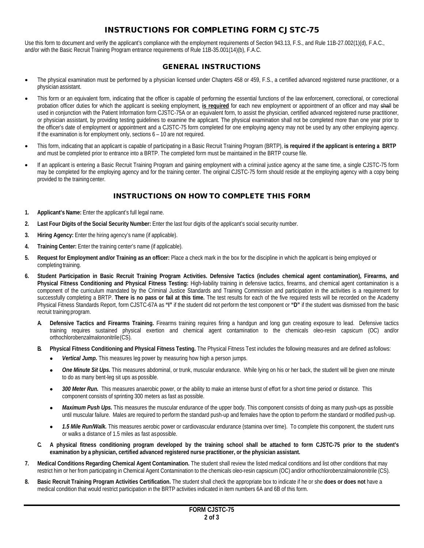#### INSTRUCTIONS FOR COMPLETING FORM CJSTC-75

Use this form to document and verify the applicant's compliance with the employment requirements of Section 943.13, F.S., and Rule 11B-27.002(1)(d), F.A.C., and/or with the Basic Recruit Training Program entrance requirements of Rule 11B-35.001(14)(b), F.A.C.

#### GENERAL INSTRUCTIONS

- The physical examination must be performed by a physician licensed under Chapters 458 or 459, F.S., a certified advanced registered nurse practitioner, or a physician assistant.
- This form or an equivalent form, indicating that the officer is capable of performing the essential functions of the law enforcement, correctional, or correctional probation officer duties for which the applicant is seeking employment, **is required** for each new employment or appointment of an officer and may shall be used in conjunction with the Patient Information form CJSTC-75A or an equivalent form, to assist the physician, certified advanced registered nurse practitioner, or physician assistant, by providing testing guidelines to examine the applicant. The physical examination shall not be completed more than one year prior to the officer's date of employment or appointment and a CJSTC-75 form completed for one employing agency may not be used by any other employing agency. If the examination is for employment only, sections 6 – 10 are not required.
- This form, indicating that an applicant is capable of participating in a Basic Recruit Training Program (BRTP), **is required if the applicant is entering a BRTP** and must be completed prior to entrance into a BRTP. The completed form must be maintained in the BRTP course file.
- If an applicant is entering a Basic Recruit Training Program and gaining employment with a criminal justice agency at the same time, a single CJSTC-75 form may be completed for the employing agency and for the training center. The original CJSTC-75 form should reside at the employing agency with a copy being provided to the training center.

#### INSTRUCTIONS ON HOW TO COMPLETE THIS FORM

- **1. Applicant's Name:** Enter the applicant's full legal name.
- **2. Last Four Digits of the Social Security Number:** Enter the last four digits of the applicant's social security number.
- **3. Hiring Agency:** Enter the hiring agency's name (if applicable).
- **4. Training Center:** Enter the training center's name (if applicable).
- **5. Request for Employment and/or Training as an officer:** Place a check mark in the box for the discipline in which the applicant is being employed or completing training.
- **6. Student Participation in Basic Recruit Training Program Activities. Defensive Tactics (includes chemical agent contamination), Firearms, and Physical Fitness Conditioning and Physical Fitness Testing:** High-liability training in defensive tactics, firearms, and chemical agent contamination is a component of the curriculum mandated by the Criminal Justice Standards and Training Commission and participation in the activities is a requirement for successfully completing a BRTP. **There is no pass or fail at this time.** The test results for each of the five required tests will be recorded on the Academy Physical Fitness Standards Report, form CJSTC-67A as **"I"** if the student did not perform the test component or **"D"** if the student was dismissed from the basic recruit training program.
	- **A. Defensive Tactics and Firearms Training.** Firearms training requires firing a handgun and long gun creating exposure to lead. Defensive tactics training requires sustained physical exertion and chemical agent contamination to the chemicals oleo-resin capsicum (OC) and/or orthochlorobenzalmalononitrile(CS).
	- **B. Physical Fitness Conditioning and Physical Fitness Testing.** The Physical Fitness Test includes the following measures and are defined asfollows:
		- *Vertical Jump.* This measures leg power by measuring how high a person jumps.
		- One Minute Sit Ups. This measures abdominal, or trunk, muscular endurance. While lying on his or her back, the student will be given one minute to do as many bent-leg sit ups as possible.
		- *300 Meter Run.* This measures anaerobic power, or the ability to make an intense burst of effort for a short time period or distance. This component consists of sprinting 300 meters as fast as possible.
		- *Maximum Push Ups.* This measures the muscular endurance of the upper body. This component consists of doing as many push-ups as possible until muscular failure. Males are required to perform the standard push-up and females have the option to perform the standard or modified push-up.
		- *1.5 Mile Run/Walk.* This measures aerobic power or cardiovascular endurance (stamina over time). To complete this component, the student runs or walks a distance of 1.5 miles as fast aspossible.
	- **C. A physical fitness conditioning program developed by the training school shall be attached to form CJSTC-75 prior to the student's examination by a physician, certified advanced registered nurse practitioner, or the physician assistant.**
- **7. Medical Conditions Regarding Chemical Agent Contamination.** The student shall review the listed medical conditions and list other conditions that may restrict him or her from participating in Chemical Agent Contamination to the chemicals oleo-resin capsicum (OC) and/or orthochlorobenzalmalononitrile (CS).
- **8. Basic Recruit Training Program Activities Certification.** The student shall check the appropriate box to indicate if he or she **does or does not** have a medical condition that would restrict participation in the BRTP activities indicated in item numbers 6A and 6B of this form.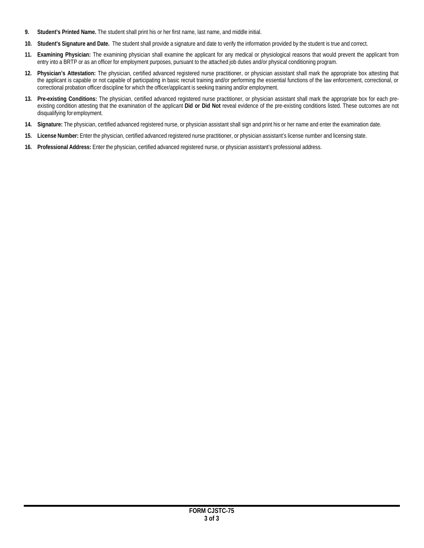- **9. Student's Printed Name.** The student shall print his or her first name, last name, and middle initial.
- **10. Student's Signature and Date.** The student shall provide a signature and date to verify the information provided by the student is true and correct.
- **11. Examining Physician:** The examining physician shall examine the applicant for any medical or physiological reasons that would prevent the applicant from entry into a BRTP or as an officer for employment purposes, pursuant to the attached job duties and/or physical conditioning program.
- **12. Physician's Attestation:** The physician, certified advanced registered nurse practitioner, or physician assistant shall mark the appropriate box attesting that the applicant is capable or not capable of participating in basic recruit training and/or performing the essential functions of the law enforcement, correctional, or correctional probation officer discipline for which the officer/applicant is seeking training and/or employment.
- **13. Pre-existing Conditions:** The physician, certified advanced registered nurse practitioner, or physician assistant shall mark the appropriate box for each preexisting condition attesting that the examination of the applicant **Did or Did Not** reveal evidence of the pre-existing conditions listed. These outcomes are not disqualifying for employment.
- **14. Signature:** The physician, certified advanced registered nurse, or physician assistant shall sign and print his or her name and enter the examination date.
- **15. License Number:** Enter the physician, certified advanced registered nurse practitioner, or physician assistant's license number and licensing state.
- **16. Professional Address:** Enter the physician, certified advanced registered nurse, or physician assistant's professional address.